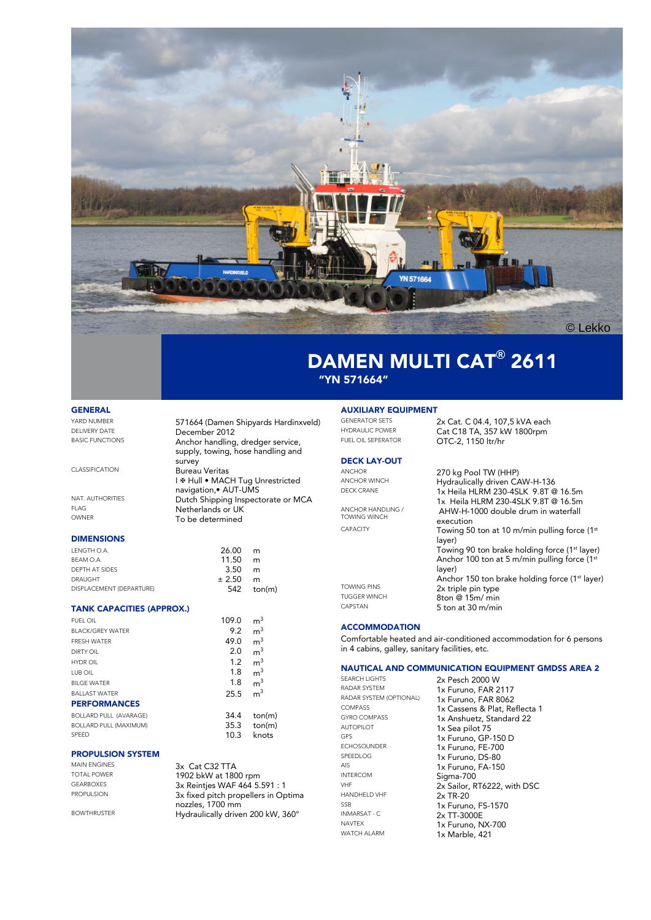

## DAMEN MULTI CAT**®** 2611 "YN 571664"

### GENERAL

YARD NUMBER<br>
FILIVERY DATE **571664** (Damen Shipyards Hardinxveld) DELIVERY DATE **December 2012**<br>BASIC FUNCTIONS Anchor handling, dredger service, supply, towing, hose handling and survey CLASSIFICATION Bureau Veritas I & Hull • MACH Tug Unrestricted navigation,• AUT-UMS NAT. AUTHORITIES **Dutch Shipping Inspectorate or MCA** FLAG **Netherlands or UK**<br>
Netherlands or UK<br>
To be determined To be determined

### **DIMENSIONS**

| LENGTH O.A.              | 26.00  | m                         |
|--------------------------|--------|---------------------------|
| BEAM O.A.                | 11.50  | m                         |
| DEPTH AT SIDES           | 3.50   | m                         |
| <b>DRAUGHT</b>           | ± 2.50 | m                         |
| DISPLACEMENT (DEPARTURE) |        | $542 \quad \text{ton(m)}$ |
|                          |        |                           |

#### TANK CAPACITIES (APPROX.)

| <b>FUEL OIL</b>               | 109.0 | m <sup>3</sup> |
|-------------------------------|-------|----------------|
| <b>BI ACK/GRFY WATER</b>      | 9.2   | m <sup>3</sup> |
| <b>FRESH WATER</b>            | 49.0  | m <sup>3</sup> |
| DIRTY OIL                     | 2.0   | m <sup>3</sup> |
| HYDR OIL                      | 1.2   | m <sup>3</sup> |
| <b>LUB OIL</b>                | 1.8   | m <sup>3</sup> |
| <b>BILGE WATER</b>            | 1.8   | m <sup>3</sup> |
| <b>BALLAST WATER</b>          | 25.5  | m <sup>3</sup> |
| <b>PERFORMANCES</b>           |       |                |
| <b>BOLLARD PULL (AVARAGE)</b> | 34.4  | ton(m)         |
| <b>BOLLARD PULL (MAXIMUM)</b> | 35.3  | ton(m)         |
| SPFFD                         | 10.3  | knots          |

#### PROPULSION SYSTEM

MAIN ENGINES 3x Cat C32 TTA<br>TOTAL POWER 1003 bl: 190 TOTAL POWER 1902 bkW at 1800 rpm GEARBOXES 3x Reintjes WAF 464 5.591 : 1<br>PROPULSION 3x fixed pitch propellers in One 3x fixed pitch propellers in Optima nozzles, 1700 mm BOWTHRUSTER Hydraulically driven 200 kW, 360°

## **AUXILIARY EQUIPMENT**<br>GENERATOR SETS

GENERATOR SETS 2x Cat. C 04.4, 107,5 kVA each<br>HYDRAULIC POWER Cat C18 TA 357 kW 1800rpm HYDRAULIC POWER<br>FIJEL ON SEPERATOR CATC 2 1150 br/br

### DECK LAY-OUT

ANCHOR<br>ANCHOR WINCH<br>Hydraulically driven C ANCHOR WINCH<br>DECK CRANE Hydraulically driven CAW-H-136<br>1x Heila HI RM 230-451 K 9.8T @ 1x Heila HLRM 230-4SLK 9.8T @ 16.5m 1x Heila HLRM 230-4SLK 9.8T @ 16.5m ANCHOR HANDLING / TOWING WINCH AHW-H-1000 double drum in waterfall execution CAPACITY Towing 50 ton at 10 m/min pulling force (1<sup>st</sup> layer) Towing 90 ton brake holding force (1<sup>st</sup> layer) Anchor 100 ton at 5 m/min pulling force (1<sup>st</sup>) layer) Anchor 150 ton brake holding force (1<sup>st</sup> layer) TOWING PINS 2x triple pin type<br>THGGER WINCH 2top @ 15m / min TUGGER WINCH  $\frac{8 \text{ton} \cdot \text{m}}{5 \text{ ton} \cdot \text{m} \cdot \text{m}}$ 5 ton at 30 m/min

OTC-2, 1150 ltr/hr

### **ACCOMMODATION**

Comfortable heated and air-conditioned accommodation for 6 persons in 4 cabins, galley, sanitary facilities, etc.

# **NAUTICAL AND COMMUNICATION EQUIPMENT GMDSS AREA 2**<br>SEARCH LIGHTS 2x Pasch 2000 W

SEARCH LIGHTS<br>
RADAR SYSTEM **2x Pesch 2000 W**<br> **2x Furino FAR 2** AUTOPILOT 1x Sea pilot 75<br>GPS 1x Furuno GP-INTERCOM Sigma-700 HANDHELD VHF<br>SSB INMARSAT - C 2x TT-3000E<br>NAVTEX 11/ EURIPE N

RADAR SYSTEM 1x Furuno, FAR 2117<br>RADAR SYSTEM (OPTIONAL) 1x Furuno, FAR 8062 RADAR SYSTEM (OPTIONAL) 1x Furuno, FAR 8062<br>COMPASS 1x Cassens & Plat Re COMPASS 1x Cassens & Plat, Reflecta 1<br>GYRO COMPASS 1x Applying Standard 22 GYRO COMPASS 1x Anshuetz, Standard 22<br>AUTOPILOT 1x Sea pilot 75 GPS<br>GPS 1x Furuno, GP-150 D<br>ECHOSOUNDER 1x Furuno, FF-700 ECHOSOUNDER 1x Furuno, FE-700<br>SPEEDLOG 1x Furuno, DS-80 SPEEDLOG 1x Furuno, DS-80 AIS 1x Furuno, FA-150  $2x$  Sailor, RT6222, with DSC<br> $2x$  TR-20 SSB 1x Furuno, FS-1570<br>
INMARSAT - C 2 2 TT-3000E NAVTEX 1x Furuno, NX-700<br>WATCH ALARM 1x Marble 421  $1x$  Marble, 421